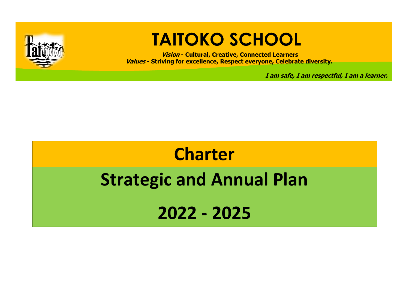

## **TAITOKO SCHOOL**

**Vision - Cultural, Creative, Connected Learners Values - Striving for excellence, Respect everyone, Celebrate diversity.**

**I am safe, I am respectful, I am a learner.**

# **Charter Strategic and Annual Plan 2022 - 2025**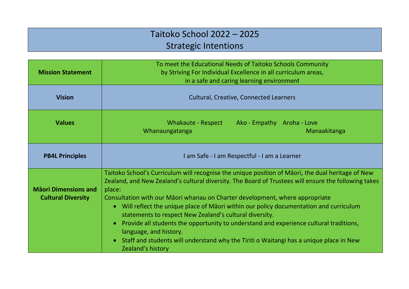#### Taitoko School 2022 – 2025 Strategic Intentions

| <b>Mission Statement</b>                                 | To meet the Educational Needs of Taitoko Schools Community<br>by Striving For Individual Excellence in all curriculum areas,<br>in a safe and caring learning environment                                                                                                                                                                                                                                                                                                                                                                                                                                                                                                                      |  |  |  |  |  |  |
|----------------------------------------------------------|------------------------------------------------------------------------------------------------------------------------------------------------------------------------------------------------------------------------------------------------------------------------------------------------------------------------------------------------------------------------------------------------------------------------------------------------------------------------------------------------------------------------------------------------------------------------------------------------------------------------------------------------------------------------------------------------|--|--|--|--|--|--|
| <b>Vision</b>                                            | <b>Cultural, Creative, Connected Learners</b>                                                                                                                                                                                                                                                                                                                                                                                                                                                                                                                                                                                                                                                  |  |  |  |  |  |  |
| <b>Values</b>                                            | <b>Whakaute - Respect</b><br>Ako - Empathy Aroha - Love<br>Whanaungatanga<br>Manaakitanga                                                                                                                                                                                                                                                                                                                                                                                                                                                                                                                                                                                                      |  |  |  |  |  |  |
| <b>PB4L Principles</b>                                   | I am Safe - I am Respectful - I am a Learner                                                                                                                                                                                                                                                                                                                                                                                                                                                                                                                                                                                                                                                   |  |  |  |  |  |  |
| <b>Mäori Dimensions and</b><br><b>Cultural Diversity</b> | Taitoko School's Curriculum will recognise the unique position of Māori, the dual heritage of New<br>Zealand, and New Zealand's cultural diversity. The Board of Trustees will ensure the following takes<br>place:<br>Consultation with our Māori whanau on Charter development, where appropriate<br>• Will reflect the unique place of Māori within our policy documentation and curriculum<br>statements to respect New Zealand's cultural diversity.<br>Provide all students the opportunity to understand and experience cultural traditions,<br>language, and history.<br>• Staff and students will understand why the Tiriti o Waitangi has a unique place in New<br>Zealand's history |  |  |  |  |  |  |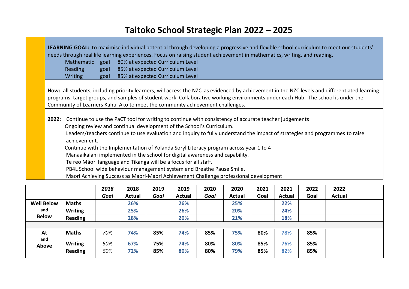#### **Taitoko School Strategic Plan 2022 – 2025**

| needs through real life learning experiences. Focus on raising student achievement in mathematics, writing, and reading.                                                                                                                                                                                                                                                                                                                                                                                        |      | LEARNING GOAL: to maximise individual potential through developing a progressive and flexible school curriculum to meet our students' |  |  |  |  |  |
|-----------------------------------------------------------------------------------------------------------------------------------------------------------------------------------------------------------------------------------------------------------------------------------------------------------------------------------------------------------------------------------------------------------------------------------------------------------------------------------------------------------------|------|---------------------------------------------------------------------------------------------------------------------------------------|--|--|--|--|--|
| Mathematic goal                                                                                                                                                                                                                                                                                                                                                                                                                                                                                                 |      | 80% at expected Curriculum Level                                                                                                      |  |  |  |  |  |
| <b>Reading</b>                                                                                                                                                                                                                                                                                                                                                                                                                                                                                                  | goal | 85% at expected Curriculum Level                                                                                                      |  |  |  |  |  |
| <b>Writing</b>                                                                                                                                                                                                                                                                                                                                                                                                                                                                                                  | goal | 85% at expected Curriculum Level                                                                                                      |  |  |  |  |  |
| programs, target groups, and samples of student work. Collaborative working environments under each Hub. The school is under the<br>Community of Learners Kahui Ako to meet the community achievement challenges.                                                                                                                                                                                                                                                                                               |      |                                                                                                                                       |  |  |  |  |  |
|                                                                                                                                                                                                                                                                                                                                                                                                                                                                                                                 |      |                                                                                                                                       |  |  |  |  |  |
| Continue to use the PaCT tool for writing to continue with consistency of accurate teacher judgements<br>2022:<br>Ongoing review and continual development of the School's Curriculum.<br>Leaders/teachers continue to use evaluation and inquiry to fully understand the impact of strategies and programmes to raise<br>achievement.<br>Continue with the Implementation of Yolanda Soryl Literacy program across year 1 to 4<br>Manaaikalani implemented in the school for digital awareness and capability. |      |                                                                                                                                       |  |  |  |  |  |
| Te reo Māori language and Tikanga will be a focus for all staff.                                                                                                                                                                                                                                                                                                                                                                                                                                                |      |                                                                                                                                       |  |  |  |  |  |
| PB4L School wide behaviour management system and Breathe Pause Smile.                                                                                                                                                                                                                                                                                                                                                                                                                                           |      |                                                                                                                                       |  |  |  |  |  |

|                   |                | 2018 | 2018          | 2019 | 2019   | 2020 | 2020   | 2021 | 2021          | 2022 | 2022   |  |
|-------------------|----------------|------|---------------|------|--------|------|--------|------|---------------|------|--------|--|
|                   |                | Goal | <b>Actual</b> | Goal | Actual | Goal | Actual | Goal | <b>Actual</b> | Goal | Actual |  |
| <b>Well Below</b> | <b>Maths</b>   |      | 26%           |      | 26%    |      | 25%    |      | 22%           |      |        |  |
| and               | <b>Writing</b> |      | 25%           |      | 26%    |      | 20%    |      | 24%           |      |        |  |
| <b>Below</b>      | <b>Reading</b> |      | 28%           |      | 20%    |      | 21%    |      | 18%           |      |        |  |
|                   |                |      |               |      |        |      |        |      |               |      |        |  |
| At<br>and         | <b>Maths</b>   | 70%  | 74%           | 85%  | 74%    | 85%  | 75%    | 80%  | 78%           | 85%  |        |  |
| Above             | <b>Writing</b> | 60%  | 67%           | 75%  | 74%    | 80%  | 80%    | 85%  | 76%           | 85%  |        |  |
|                   | <b>Reading</b> | 60%  | 72%           | 85%  | 80%    | 80%  | 79%    | 85%  | 82%           | 85%  |        |  |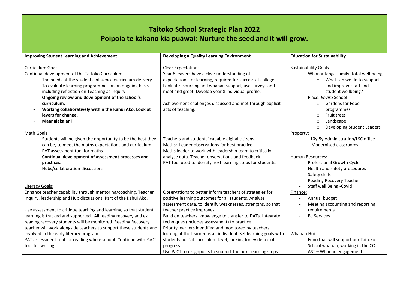#### **Taitoko School Strategic Plan 2022 Poipoia te kākano kia puāwai: Nurture the seed and it will grow.**

| <b>Improving Student Learning and Achievement</b>                                                                                                                                                                                                                          | <b>Developing a Quality Learning Environment</b>                                                                                                                                                           | <b>Education for Sustainability</b>                                                                                        |
|----------------------------------------------------------------------------------------------------------------------------------------------------------------------------------------------------------------------------------------------------------------------------|------------------------------------------------------------------------------------------------------------------------------------------------------------------------------------------------------------|----------------------------------------------------------------------------------------------------------------------------|
| <b>Curriculum Goals:</b><br>Continual development of the Taitoko Curriculum.<br>The needs of the students influence curriculum delivery.                                                                                                                                   | <b>Clear Expectations:</b><br>Year 8 leavers have a clear understanding of<br>expectations for learning, required for success at college.                                                                  | <b>Sustainability Goals</b><br>Whanautanga-family: total well-being<br>What can we do to support<br>$\circ$                |
| To evaluate learning programmes on an ongoing basis,<br>$\overline{\phantom{a}}$<br>including reflection on Teaching as Inquiry<br>Ongoing review and development of the school's<br>$\overline{\phantom{a}}$                                                              | Look at resourcing and whanau support, use surveys and<br>meet and greet. Develop year 8 individual profile.                                                                                               | and improve staff and<br>student wellbeing?<br>Place: Enviro School                                                        |
| curriculum.<br>$\overline{\phantom{a}}$<br>Working collaboratively within the Kahui Ako. Look at<br>levers for change.                                                                                                                                                     | Achievement challenges discussed and met through explicit<br>acts of teaching.                                                                                                                             | <b>Gardens for Food</b><br>$\circ$<br>programmes<br>Fruit trees<br>$\circ$                                                 |
| Maanaiakalani<br>Math Goals:                                                                                                                                                                                                                                               |                                                                                                                                                                                                            | Landscape<br>$\circ$<br>Developing Student Leaders<br>$\circ$<br>Property:                                                 |
| Students will be given the opportunity to be the best they<br>can be, to meet the maths expectations and curriculum.<br>PAT assessment tool for maths<br>$\overline{\phantom{a}}$                                                                                          | Teachers and students' capable digital citizens.<br>Maths: Leader observations for best practice.<br>Maths leader to work with leadership team to critically                                               | 10y-5y Administration/LSC office<br>Modernised classrooms                                                                  |
| Continual development of assessment processes and<br>practices.<br>Hubs/collaboration discussions                                                                                                                                                                          | analyse data. Teacher observations and feedback.<br>PAT tool used to identify next learning steps for students.                                                                                            | Human Resources:<br>Professional Growth Cycle<br>Health and safety procedures<br>Safety drills<br>Reading Recovery Teacher |
| Literacy Goals:                                                                                                                                                                                                                                                            |                                                                                                                                                                                                            | Staff well Being -Covid                                                                                                    |
| Enhance teacher capability through mentoring/coaching. Teacher<br>Inquiry, leadership and Hub discussions. Part of the Kahui Ako.                                                                                                                                          | Observations to better inform teachers of strategies for<br>positive learning outcomes for all students. Analyse<br>assessment data, to identify weaknesses, strengths, so that                            | Finance:<br>Annual budget<br>Meeting accounting and reporting                                                              |
| Use assessment to critique teaching and learning, so that student<br>learning is tracked and supported. All reading recovery and ex<br>reading recovery students will be monitored. Reading Recovery<br>teacher will work alongside teachers to support these students and | teacher practice improves.<br>Build on teachers' knowledge to transfer to DATs. Integrate<br>techniques (includes assessment) to practice.<br>Priority learners identified and monitored by teachers,      | requirements<br><b>Ed Services</b>                                                                                         |
| involved in the early literacy program.<br>PAT assessment tool for reading whole school. Continue with PaCT<br>tool for writing.                                                                                                                                           | looking at the learner as an individual. Set learning goals with<br>students not 'at curriculum level, looking for evidence of<br>progress.<br>Use PaCT tool signposts to support the next learning steps. | Whanau Hui<br>Fono that will support our Taitoko<br>School whanau, working in the COL<br>AST - Whanau engagement.          |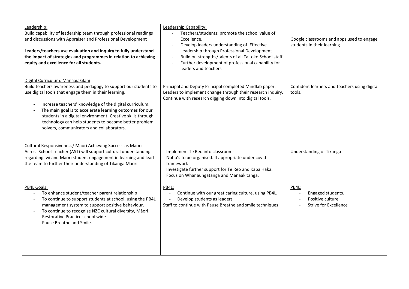| Leadership:<br>Build capability of leadership team through professional readings<br>and discussions with Appraiser and Professional Development<br>Leaders/teachers use evaluation and inquiry to fully understand<br>the impact of strategies and programmes in relation to achieving<br>equity and excellence for all students.                                                                                                                                                                                 | Leadership Capability:<br>Teachers/students: promote the school value of<br>Excellence.<br>Develop leaders understanding of 'Effective<br>Leadership through Professional Development<br>Build on strengths/talents of all Taitoko School staff<br>Further development of professional capability for<br>leaders and teachers | Google classrooms and apps used to engage<br>students in their learning.       |
|-------------------------------------------------------------------------------------------------------------------------------------------------------------------------------------------------------------------------------------------------------------------------------------------------------------------------------------------------------------------------------------------------------------------------------------------------------------------------------------------------------------------|-------------------------------------------------------------------------------------------------------------------------------------------------------------------------------------------------------------------------------------------------------------------------------------------------------------------------------|--------------------------------------------------------------------------------|
| Digital Curriculum: Manaaiakilani<br>Build teachers awareness and pedagogy to support our students to<br>use digital tools that engage them in their learning.<br>Increase teachers' knowledge of the digital curriculum.<br>$\overline{\phantom{a}}$<br>The main goal is to accelerate learning outcomes for our<br>$\overline{\phantom{a}}$<br>students in a digital environment. Creative skills through<br>technology can help students to become better problem<br>solvers, communicators and collaborators. | Principal and Deputy Principal completed Mindlab paper.<br>Leaders to implement change through their research inquiry.<br>Continue with research digging down into digital tools.                                                                                                                                             | Confident learners and teachers using digital<br>tools.                        |
| Cultural Responsiveness/ Maori Achieving Success as Maori<br>Across School Teacher (AST) will support cultural understanding<br>regarding iwi and Maori student engagement in learning and lead<br>the team to further their understanding of Tikanga Maori.                                                                                                                                                                                                                                                      | Implement Te Reo into classrooms.<br>Noho's to be organised. If appropriate under covid<br>framework<br>Investigate further support for Te Reo and Kapa Haka.<br>Focus on Whanaungatanga and Manaakitanga.                                                                                                                    | Understanding of Tikanga                                                       |
| PB4L Goals:<br>To enhance student/teacher parent relationship<br>To continue to support students at school, using the PB4L<br>$\overline{\phantom{a}}$<br>management system to support positive behaviour.<br>To continue to recognise NZC cultural diversity, Māori.<br>$\overline{\phantom{a}}$<br>Restorative Practice school wide<br>$\overline{\phantom{a}}$<br>Pause Breathe and Smile.                                                                                                                     | PB4L:<br>Continue with our great caring culture, using PB4L.<br>Develop students as leaders<br>Staff to continue with Pause Breathe and smile techniques                                                                                                                                                                      | PB4L:<br>Engaged students.<br>Positive culture<br><b>Strive for Excellence</b> |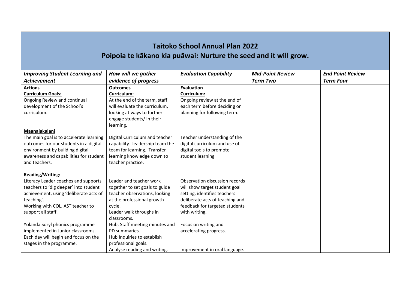#### **Taitoko School Annual Plan 2022 Poipoia te kākano kia puāwai: Nurture the seed and it will grow.**

| <b>Improving Student Learning and</b>   | How will we gather              | <b>Evaluation Capability</b>    | <b>Mid-Point Review</b> | <b>End Point Review</b> |
|-----------------------------------------|---------------------------------|---------------------------------|-------------------------|-------------------------|
| <b>Achievement</b>                      | evidence of progress            |                                 | <b>Term Two</b>         | <b>Term Four</b>        |
| <b>Actions</b>                          | <b>Outcomes</b>                 | Evaluation                      |                         |                         |
| <b>Curriculum Goals:</b>                | Curriculum:                     | Curriculum:                     |                         |                         |
| Ongoing Review and continual            | At the end of the term, staff   | Ongoing review at the end of    |                         |                         |
| development of the School's             | will evaluate the curriculum,   | each term before deciding on    |                         |                         |
| curriculum.                             | looking at ways to further      | planning for following term.    |                         |                         |
|                                         | engage students/ in their       |                                 |                         |                         |
|                                         | learning.                       |                                 |                         |                         |
| Maanaiakalani                           |                                 |                                 |                         |                         |
| The main goal is to accelerate learning | Digital Curriculum and teacher  | Teacher understanding of the    |                         |                         |
| outcomes for our students in a digital  | capability. Leadership team the | digital curriculum and use of   |                         |                         |
| environment by building digital         | team for learning. Transfer     | digital tools to promote        |                         |                         |
| awareness and capabilities for student  | learning knowledge down to      | student learning                |                         |                         |
| and teachers.                           | teacher practice.               |                                 |                         |                         |
| <b>Reading/Writing:</b>                 |                                 |                                 |                         |                         |
| Literacy Leader coaches and supports    | Leader and teacher work         | Observation discussion records  |                         |                         |
| teachers to 'dig deeper' into student   | together to set goals to guide  | will show target student goal   |                         |                         |
| achievement, using 'deliberate acts of  | teacher observations, looking   | setting, identifies teachers    |                         |                         |
| teaching'.                              | at the professional growth      | deliberate acts of teaching and |                         |                         |
| Working with COL. AST teacher to        | cycle.                          | feedback for targeted students  |                         |                         |
| support all staff.                      | Leader walk throughs in         | with writing.                   |                         |                         |
|                                         | classrooms.                     |                                 |                         |                         |
| Yolanda Soryl phonics programme         | Hub, Staff meeting minutes and  | Focus on writing and            |                         |                         |
| implemented in Junior classrooms.       | PD summaries.                   | accelerating progress.          |                         |                         |
| Each day will begin and focus on the    | Hub Inquiries to establish      |                                 |                         |                         |
| stages in the programme.                | professional goals.             |                                 |                         |                         |
|                                         | Analyse reading and writing.    | Improvement in oral language.   |                         |                         |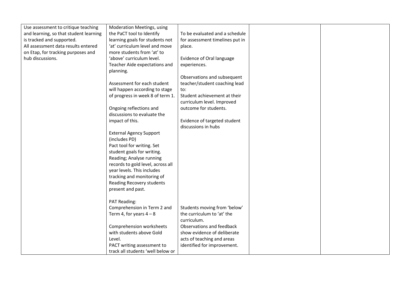| Use assessment to critique teaching    | Moderation Meetings, using        |                                 |  |
|----------------------------------------|-----------------------------------|---------------------------------|--|
| and learning, so that student learning | the PaCT tool to Identify         | To be evaluated and a schedule  |  |
| is tracked and supported.              | learning goals for students not   | for assessment timelines put in |  |
| All assessment data results entered    | 'at' curriculum level and move    | place.                          |  |
| on Etap, for tracking purposes and     | more students from 'at' to        |                                 |  |
| hub discussions.                       | 'above' curriculum level.         | Evidence of Oral language       |  |
|                                        | Teacher Aide expectations and     | experiences.                    |  |
|                                        | planning.                         |                                 |  |
|                                        |                                   | Observations and subsequent     |  |
|                                        | Assessment for each student       | teacher/student coaching lead   |  |
|                                        | will happen according to stage    | to:                             |  |
|                                        | of progress in week 8 of term 1.  | Student achievement at their    |  |
|                                        |                                   | curriculum level. Improved      |  |
|                                        | Ongoing reflections and           | outcome for students.           |  |
|                                        | discussions to evaluate the       |                                 |  |
|                                        | impact of this.                   | Evidence of targeted student    |  |
|                                        |                                   | discussions in hubs             |  |
|                                        | <b>External Agency Support</b>    |                                 |  |
|                                        | (includes PD)                     |                                 |  |
|                                        | Pact tool for writing. Set        |                                 |  |
|                                        | student goals for writing.        |                                 |  |
|                                        | Reading; Analyse running          |                                 |  |
|                                        | records to gold level, across all |                                 |  |
|                                        | year levels. This includes        |                                 |  |
|                                        | tracking and monitoring of        |                                 |  |
|                                        | Reading Recovery students         |                                 |  |
|                                        | present and past.                 |                                 |  |
|                                        |                                   |                                 |  |
|                                        | PAT Reading:                      |                                 |  |
|                                        | Comprehension in Term 2 and       | Students moving from 'below'    |  |
|                                        | Term 4, for years $4 - 8$         | the curriculum to 'at' the      |  |
|                                        |                                   | curriculum.                     |  |
|                                        | Comprehension worksheets          | Observations and feedback       |  |
|                                        | with students above Gold          | show evidence of deliberate     |  |
|                                        | Level.                            | acts of teaching and areas      |  |
|                                        | PACT writing assessment to        | identified for improvement.     |  |
|                                        | track all students 'well below or |                                 |  |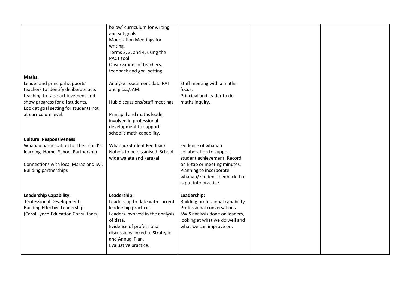|                                        | below' curriculum for writing    |                                   |  |
|----------------------------------------|----------------------------------|-----------------------------------|--|
|                                        | and set goals.                   |                                   |  |
|                                        | <b>Moderation Meetings for</b>   |                                   |  |
|                                        | writing.                         |                                   |  |
|                                        |                                  |                                   |  |
|                                        | Terms 2, 3, and 4, using the     |                                   |  |
|                                        | PACT tool.                       |                                   |  |
|                                        | Observations of teachers,        |                                   |  |
|                                        | feedback and goal setting.       |                                   |  |
| <b>Maths:</b>                          |                                  |                                   |  |
| Leader and principal supports'         | Analyse assessment data PAT      | Staff meeting with a maths        |  |
| teachers to identify deliberate acts   | and gloss/JAM.                   | focus.                            |  |
| teaching to raise achievement and      |                                  | Principal and leader to do        |  |
| show progress for all students.        | Hub discussions/staff meetings   | maths inquiry.                    |  |
| Look at goal setting for students not  |                                  |                                   |  |
| at curriculum level.                   | Principal and maths leader       |                                   |  |
|                                        | involved in professional         |                                   |  |
|                                        | development to support           |                                   |  |
|                                        |                                  |                                   |  |
|                                        | school's math capability.        |                                   |  |
| <b>Cultural Responsiveness:</b>        |                                  |                                   |  |
| Whanau participation for their child's | Whanau/Student Feedback          | Evidence of whanau                |  |
| learning. Home, School Partnership.    | Noho's to be organised. School   | collaboration to support          |  |
|                                        | wide waiata and karakai          | student achievement. Record       |  |
| Connections with local Marae and iwi.  |                                  | on E-tap or meeting minutes.      |  |
| <b>Building partnerships</b>           |                                  | Planning to incorporate           |  |
|                                        |                                  | whanau/ student feedback that     |  |
|                                        |                                  | is put into practice.             |  |
|                                        |                                  |                                   |  |
| <b>Leadership Capability:</b>          | Leadership:                      | Leadership:                       |  |
| Professional Development:              | Leaders up to date with current  | Building professional capability. |  |
| <b>Building Effective Leadership</b>   | leadership practices.            | Professional conversations        |  |
| (Carol Lynch-Education Consultants)    | Leaders involved in the analysis | SWIS analysis done on leaders,    |  |
|                                        | of data.                         | looking at what we do well and    |  |
|                                        | Evidence of professional         | what we can improve on.           |  |
|                                        | discussions linked to Strategic  |                                   |  |
|                                        | and Annual Plan.                 |                                   |  |
|                                        |                                  |                                   |  |
|                                        | Evaluative practice.             |                                   |  |
|                                        |                                  |                                   |  |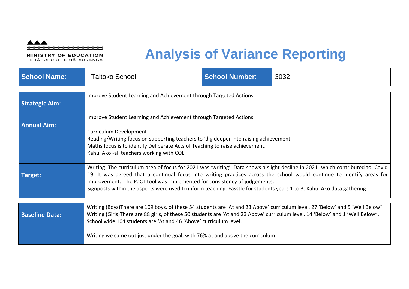

MINISTRY OF EDUCATION TE TĀHUHU O TE MĀTAURANGA

### **Analysis of Variance Reporting**

| <b>School Name:</b>   | <b>Taitoko School</b>                                                                                                                                                                                                                                                                                                                                                                                                 | <b>School Number:</b> | 3032                                                                                                                                                                                                                                                    |
|-----------------------|-----------------------------------------------------------------------------------------------------------------------------------------------------------------------------------------------------------------------------------------------------------------------------------------------------------------------------------------------------------------------------------------------------------------------|-----------------------|---------------------------------------------------------------------------------------------------------------------------------------------------------------------------------------------------------------------------------------------------------|
| <b>Strategic Aim:</b> | Improve Student Learning and Achievement through Targeted Actions                                                                                                                                                                                                                                                                                                                                                     |                       |                                                                                                                                                                                                                                                         |
| <b>Annual Aim:</b>    | Improve Student Learning and Achievement through Targeted Actions:<br>Curriculum Development<br>Reading/Writing focus on supporting teachers to 'dig deeper into raising achievement,<br>Maths focus is to identify Deliberate Acts of Teaching to raise achievement.<br>Kahui Ako -all teachers working with COL.                                                                                                    |                       |                                                                                                                                                                                                                                                         |
| Target:               | improvement. The PaCT tool was implemented for consistency of judgements.<br>Signposts within the aspects were used to inform teaching. Easstle for students years 1 to 3. Kahui Ako data gathering                                                                                                                                                                                                                   |                       | Writing: The curriculum area of focus for 2021 was 'writing'. Data shows a slight decline in 2021- which contributed to Covid<br>19. It was agreed that a continual focus into writing practices across the school would continue to identify areas for |
| <b>Baseline Data:</b> | Writing (Boys) There are 109 boys, of these 54 students are 'At and 23 Above' curriculum level. 27 'Below' and 5 'Well Below"<br>Writing (Girls)There are 88 girls, of these 50 students are 'At and 23 Above' curriculum level. 14 'Below' and 1 'Well Below".<br>School wide 104 students are 'At and 46 'Above' curriculum level.<br>Writing we came out just under the goal, with 76% at and above the curriculum |                       |                                                                                                                                                                                                                                                         |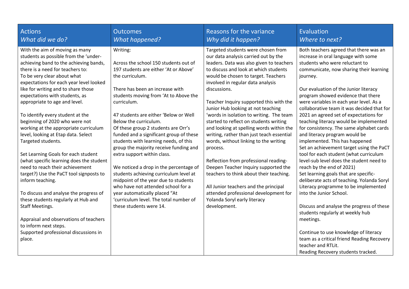| Actions                                                                                                                                                                                                                                                                                                                                                                                                                                                                                                                                                                                                                                                                                                                                                                                                                                                                                                                              | <b>Outcomes</b>                                                                                                                                                                                                                                                                                                                                                                                                                                                                                                                                                                                                                                                                                                                                        | Reasons for the variance                                                                                                                                                                                                                                                                                                                                                                                                                                                                                                                                                                                                                                                                                                                                                                                                                       | Evaluation                                                                                                                                                                                                                                                                                                                                                                                                                                                                                                                                                                                                                                                                                                                                                                                                                                                                                                                                                                                                                                                                                                                  |
|--------------------------------------------------------------------------------------------------------------------------------------------------------------------------------------------------------------------------------------------------------------------------------------------------------------------------------------------------------------------------------------------------------------------------------------------------------------------------------------------------------------------------------------------------------------------------------------------------------------------------------------------------------------------------------------------------------------------------------------------------------------------------------------------------------------------------------------------------------------------------------------------------------------------------------------|--------------------------------------------------------------------------------------------------------------------------------------------------------------------------------------------------------------------------------------------------------------------------------------------------------------------------------------------------------------------------------------------------------------------------------------------------------------------------------------------------------------------------------------------------------------------------------------------------------------------------------------------------------------------------------------------------------------------------------------------------------|------------------------------------------------------------------------------------------------------------------------------------------------------------------------------------------------------------------------------------------------------------------------------------------------------------------------------------------------------------------------------------------------------------------------------------------------------------------------------------------------------------------------------------------------------------------------------------------------------------------------------------------------------------------------------------------------------------------------------------------------------------------------------------------------------------------------------------------------|-----------------------------------------------------------------------------------------------------------------------------------------------------------------------------------------------------------------------------------------------------------------------------------------------------------------------------------------------------------------------------------------------------------------------------------------------------------------------------------------------------------------------------------------------------------------------------------------------------------------------------------------------------------------------------------------------------------------------------------------------------------------------------------------------------------------------------------------------------------------------------------------------------------------------------------------------------------------------------------------------------------------------------------------------------------------------------------------------------------------------------|
| What did we do?                                                                                                                                                                                                                                                                                                                                                                                                                                                                                                                                                                                                                                                                                                                                                                                                                                                                                                                      | <b>What happened?</b>                                                                                                                                                                                                                                                                                                                                                                                                                                                                                                                                                                                                                                                                                                                                  | Why did it happen?                                                                                                                                                                                                                                                                                                                                                                                                                                                                                                                                                                                                                                                                                                                                                                                                                             | Where to next?                                                                                                                                                                                                                                                                                                                                                                                                                                                                                                                                                                                                                                                                                                                                                                                                                                                                                                                                                                                                                                                                                                              |
| With the aim of moving as many<br>students as possible from the 'under-<br>achieving band to the achieving bands,<br>there is a need for teachers to:<br>To be very clear about what<br>expectations for each year level looked<br>like for writing and to share those<br>expectations with students, as<br>appropriate to age and level.<br>To identify every student at the<br>beginning of 2020 who were not<br>working at the appropriate curriculum<br>level, looking at Etap data. Select<br>Targeted students.<br>Set Learning Goals for each student<br>(what specific learning does the student<br>need to reach their achievement<br>target?) Use the PaCT tool signposts to<br>inform teaching.<br>To discuss and analyse the progress of<br>these students regularly at Hub and<br>Staff Meetings.<br>Appraisal and observations of teachers<br>to inform next steps.<br>Supported professional discussions in<br>place. | Writing:<br>Across the school 150 students out of<br>197 students are either 'At or Above'<br>the curriculum.<br>There has been an increase with<br>students moving from 'At to Above the<br>curriculum.<br>47 students are either 'Below or Well<br>Below the curriculum.<br>Of these group 2 students are Orr's<br>funded and a significant group of these<br>students with learning needs, of this<br>group the majority receive funding and<br>extra support within class.<br>We noticed a drop in the percentage of<br>students achieving curriculum level at<br>midpoint of the year due to students<br>who have not attended school for a<br>year automatically placed "At<br>'curriculum level. The total number of<br>these students were 14. | Targeted students were chosen from<br>our data analysis carried out by the<br>leaders. Data was also given to teachers<br>to discuss and look at which students<br>would be chosen to target. Teachers<br>involved in regular data analysis<br>discussions.<br>Teacher Inquiry supported this with the<br>Junior Hub looking at not teaching<br>'words in isolation to writing. The team<br>started to reflect on students writing<br>and looking at spelling words within the<br>writing, rather than just teach essential<br>words, without linking to the writing<br>process.<br>Reflection from professional reading-<br>Deepen Teacher Inquiry supported the<br>teachers to think about their teaching.<br>All Junior teachers and the principal<br>attended professional development for<br>Yolanda Soryl early literacy<br>development. | Both teachers agreed that there was an<br>increase in oral language with some<br>students who were reluctant to<br>communicate, now sharing their learning<br>journey.<br>Our evaluation of the Junior literacy<br>program showed evidence that there<br>were variables in each year level. As a<br>collaborative team it was decided that for<br>2021 an agreed set of expectations for<br>teaching literacy would be implemented<br>for consistency. The same alphabet cards<br>and literacy program would be<br>implemented. This has happened<br>Set an achievement target using the PaCT<br>tool for each student (what curriculum<br>level-sub level does the student need to<br>reach by the end of 2021)<br>Set learning goals that are specific-<br>deliberate acts of teaching. Yolanda Soryl<br>Literacy programme to be implemented<br>into the Junior School.<br>Discuss and analyse the progress of these<br>students regularly at weekly hub<br>meetings.<br>Continue to use knowledge of literacy<br>team as a critical friend Reading Recovery<br>teacher and RTLit.<br>Reading Recovery students tracked. |